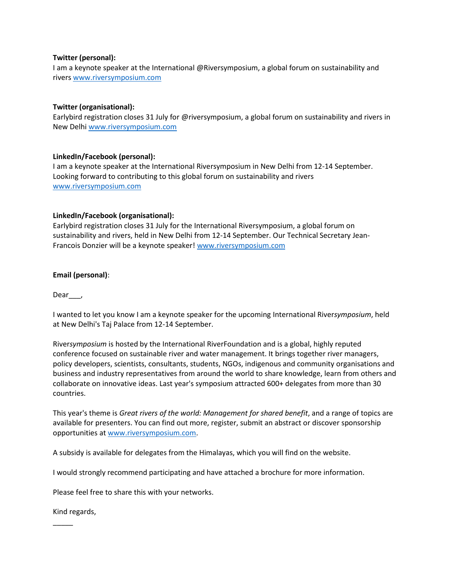# **Twitter (personal):**

I am a keynote speaker at the International @Riversymposium, a global forum on sustainability and river[s www.riversymposium.com](http://www.riversymposium.com/)

# **Twitter (organisational):**

Earlybird registration closes 31 July for @riversymposium, a global forum on sustainability and rivers in New Delh[i www.riversymposium.com](http://www.riversymposium.com/)

### **LinkedIn/Facebook (personal):**

I am a keynote speaker at the International Riversymposium in New Delhi from 12-14 September. Looking forward to contributing to this global forum on sustainability and rivers [www.riversymposium.com](http://www.riversymposium.com/)

### **LinkedIn/Facebook (organisational):**

Earlybird registration closes 31 July for the International Riversymposium, a global forum on sustainability and rivers, held in New Delhi from 12-14 September. Our Technical Secretary Jean-Francois Donzier will be a keynote speaker! [www.riversymposium.com](http://www.riversymposium.com/)

### **Email (personal)**:

Dear\_\_\_,

I wanted to let you know I am a keynote speaker for the upcoming International River*symposium*, held at New Delhi's Taj Palace from 12-14 September.

River*symposium* is hosted by the International RiverFoundation and is a global, highly reputed conference focused on sustainable river and water management. It brings together river managers, policy developers, scientists, consultants, students, NGOs, indigenous and community organisations and business and industry representatives from around the world to share knowledge, learn from others and collaborate on innovative ideas. Last year's symposium attracted 600+ delegates from more than 30 countries.

This year's theme is *Great rivers of the world: Management for shared benefit*, and a range of topics are available for presenters. You can find out more, register, submit an abstract or discover sponsorship opportunities a[t www.riversymposium.com.](http://www.riversymposium.com/)

A subsidy is available for delegates from the Himalayas, which you will find on the website.

I would strongly recommend participating and have attached a brochure for more information.

Please feel free to share this with your networks.

Kind regards,

\_\_\_\_\_